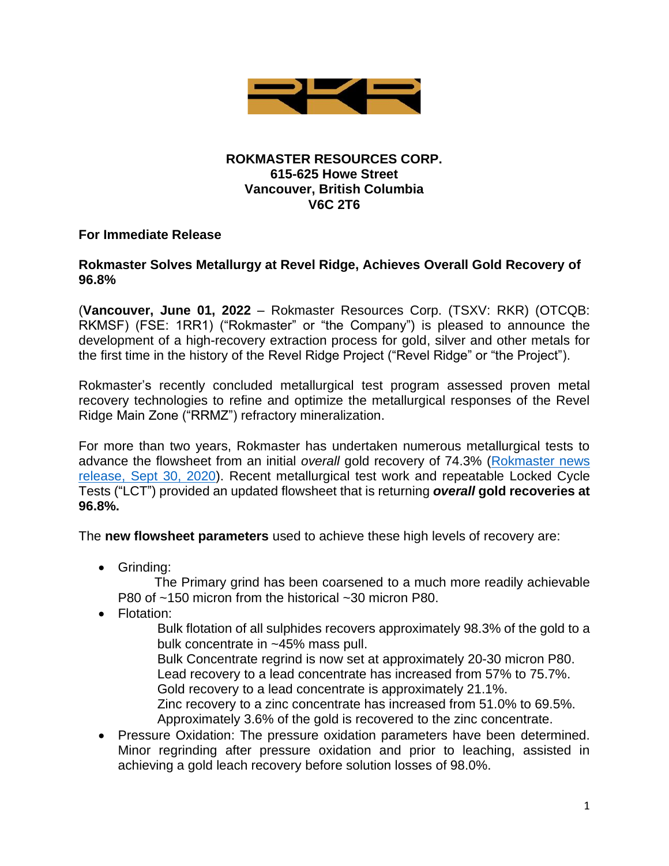

#### **ROKMASTER RESOURCES CORP. 615-625 Howe Street Vancouver, British Columbia V6C 2T6**

#### **For Immediate Release**

#### **Rokmaster Solves Metallurgy at Revel Ridge, Achieves Overall Gold Recovery of 96.8%**

(**Vancouver, June 01, 2022** – Rokmaster Resources Corp. (TSXV: RKR) (OTCQB: RKMSF) (FSE: 1RR1) ("Rokmaster" or "the Company") is pleased to announce the development of a high-recovery extraction process for gold, silver and other metals for the first time in the history of the Revel Ridge Project ("Revel Ridge" or "the Project").

Rokmaster's recently concluded metallurgical test program assessed proven metal recovery technologies to refine and optimize the metallurgical responses of the Revel Ridge Main Zone ("RRMZ") refractory mineralization.

For more than two years, Rokmaster has undertaken numerous metallurgical tests to advance the flowsheet from an initial *overall* gold recovery of 74.3% [\(Rokmaster news](file:///C:/Users/wmirk/Documents/Rokmaster/News%20Releases/2020%20Revel%20Ridge%20PEA%20draft%20PR.docx)  [release, Sept 30, 2020\)](file:///C:/Users/wmirk/Documents/Rokmaster/News%20Releases/2020%20Revel%20Ridge%20PEA%20draft%20PR.docx). Recent metallurgical test work and repeatable Locked Cycle Tests ("LCT") provided an updated flowsheet that is returning *overall* **gold recoveries at 96.8%.**

The **new flowsheet parameters** used to achieve these high levels of recovery are:

• Grinding:

 The Primary grind has been coarsened to a much more readily achievable P80 of ~150 micron from the historical ~30 micron P80.

• Flotation:

Bulk flotation of all sulphides recovers approximately 98.3% of the gold to a bulk concentrate in ~45% mass pull.

Bulk Concentrate regrind is now set at approximately 20-30 micron P80. Lead recovery to a lead concentrate has increased from 57% to 75.7%.

Gold recovery to a lead concentrate is approximately 21.1%.

Zinc recovery to a zinc concentrate has increased from 51.0% to 69.5%. Approximately 3.6% of the gold is recovered to the zinc concentrate.

• Pressure Oxidation: The pressure oxidation parameters have been determined. Minor regrinding after pressure oxidation and prior to leaching, assisted in achieving a gold leach recovery before solution losses of 98.0%.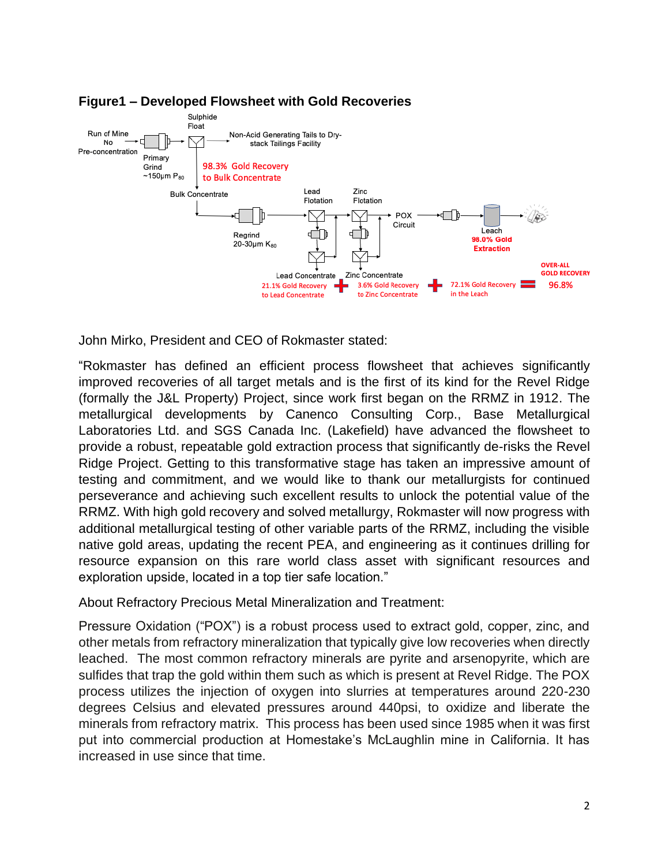

# **Figure1 – Developed Flowsheet with Gold Recoveries**

John Mirko, President and CEO of Rokmaster stated:

"Rokmaster has defined an efficient process flowsheet that achieves significantly improved recoveries of all target metals and is the first of its kind for the Revel Ridge (formally the J&L Property) Project, since work first began on the RRMZ in 1912. The metallurgical developments by Canenco Consulting Corp., Base Metallurgical Laboratories Ltd. and SGS Canada Inc. (Lakefield) have advanced the flowsheet to provide a robust, repeatable gold extraction process that significantly de-risks the Revel Ridge Project. Getting to this transformative stage has taken an impressive amount of testing and commitment, and we would like to thank our metallurgists for continued perseverance and achieving such excellent results to unlock the potential value of the RRMZ. With high gold recovery and solved metallurgy, Rokmaster will now progress with additional metallurgical testing of other variable parts of the RRMZ, including the visible native gold areas, updating the recent PEA, and engineering as it continues drilling for resource expansion on this rare world class asset with significant resources and exploration upside, located in a top tier safe location."

About Refractory Precious Metal Mineralization and Treatment:

Pressure Oxidation ("POX") is a robust process used to extract gold, copper, zinc, and other metals from refractory mineralization that typically give low recoveries when directly leached. The most common refractory minerals are pyrite and arsenopyrite, which are sulfides that trap the gold within them such as which is present at Revel Ridge. The POX process utilizes the injection of oxygen into slurries at temperatures around 220-230 degrees Celsius and elevated pressures around 440psi, to oxidize and liberate the minerals from refractory matrix. This process has been used since 1985 when it was first put into commercial production at Homestake's McLaughlin mine in California. It has increased in use since that time.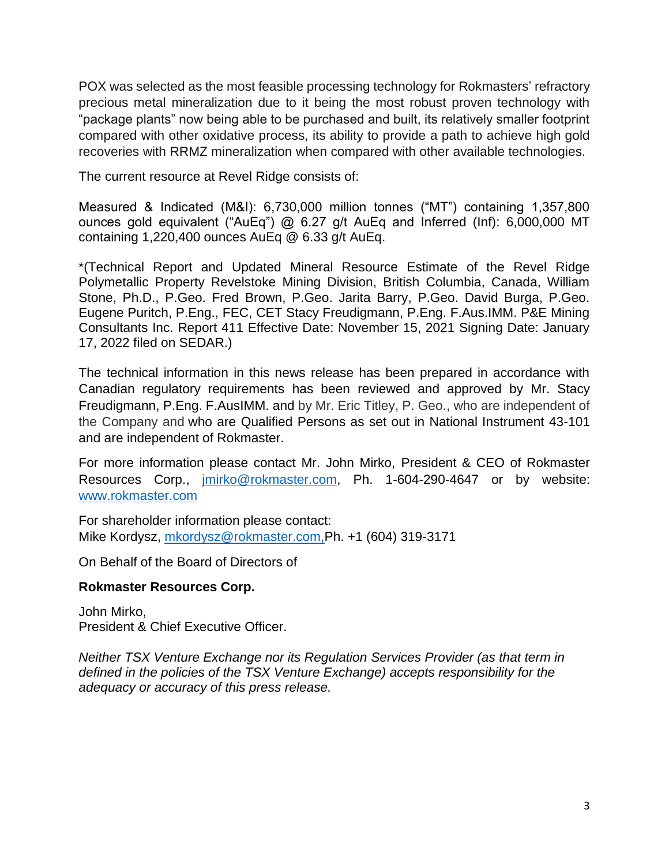POX was selected as the most feasible processing technology for Rokmasters' refractory precious metal mineralization due to it being the most robust proven technology with "package plants" now being able to be purchased and built, its relatively smaller footprint compared with other oxidative process, its ability to provide a path to achieve high gold recoveries with RRMZ mineralization when compared with other available technologies.

The current resource at Revel Ridge consists of:

Measured & Indicated (M&I): 6,730,000 million tonnes ("MT") containing 1,357,800 ounces gold equivalent ("AuEq") @ 6.27 g/t AuEq and Inferred (Inf): 6,000,000 MT containing 1,220,400 ounces AuEq @ 6.33 g/t AuEq.

\*(Technical Report and Updated Mineral Resource Estimate of the Revel Ridge Polymetallic Property Revelstoke Mining Division, British Columbia, Canada, William Stone, Ph.D., P.Geo. Fred Brown, P.Geo. Jarita Barry, P.Geo. David Burga, P.Geo. Eugene Puritch, P.Eng., FEC, CET Stacy Freudigmann, P.Eng. F.Aus.IMM. P&E Mining Consultants Inc. Report 411 Effective Date: November 15, 2021 Signing Date: January 17, 2022 filed on SEDAR.)

The technical information in this news release has been prepared in accordance with Canadian regulatory requirements has been reviewed and approved by Mr. Stacy Freudigmann, P.Eng. F.AusIMM. and by Mr. Eric Titley, P. Geo., who are independent of the Company and who are Qualified Persons as set out in National Instrument 43-101 and are independent of Rokmaster.

For more information please contact Mr. John Mirko, President & CEO of Rokmaster Resources Corp., [jmirko@rokmaster.com,](mailto:jmirko@rokmaster.com) Ph. 1-604-290-4647 or by website: [www.rokmaster.com](http://www.rokmaster.com/)

For shareholder information please contact: Mike Kordysz, [mkordysz@rokmaster.com,](mailto:mkordysz@rokmaster.com)Ph. +1 (604) 319-3171

On Behalf of the Board of Directors of

# **Rokmaster Resources Corp.**

John Mirko, President & Chief Executive Officer.

*Neither TSX Venture Exchange nor its Regulation Services Provider (as that term in defined in the policies of the TSX Venture Exchange) accepts responsibility for the adequacy or accuracy of this press release.*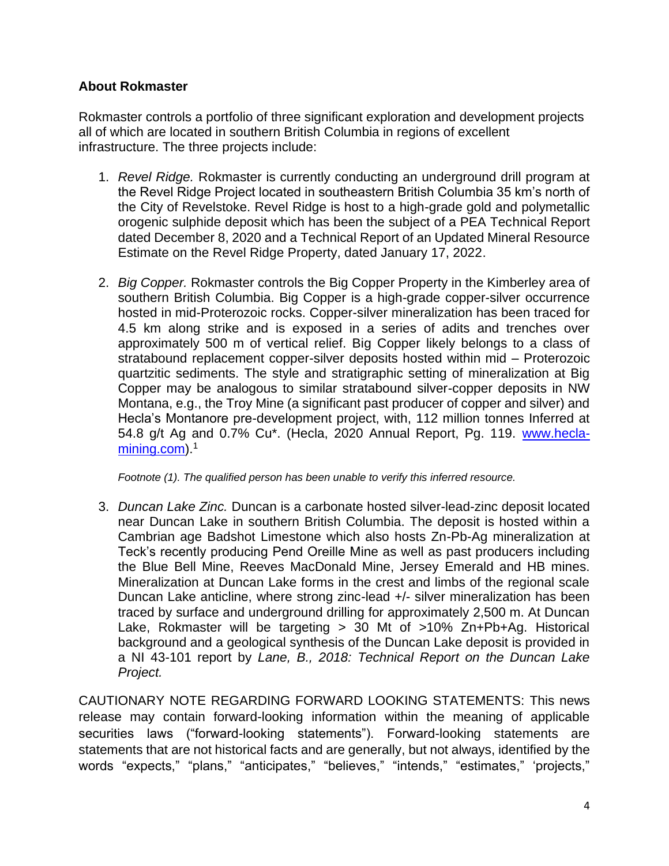# **About Rokmaster**

Rokmaster controls a portfolio of three significant exploration and development projects all of which are located in southern British Columbia in regions of excellent infrastructure. The three projects include:

- 1. *Revel Ridge.* Rokmaster is currently conducting an underground drill program at the Revel Ridge Project located in southeastern British Columbia 35 km's north of the City of Revelstoke. Revel Ridge is host to a high-grade gold and polymetallic orogenic sulphide deposit which has been the subject of a PEA Technical Report dated December 8, 2020 and a Technical Report of an Updated Mineral Resource Estimate on the Revel Ridge Property, dated January 17, 2022.
- 2. *Big Copper.* Rokmaster controls the Big Copper Property in the Kimberley area of southern British Columbia. Big Copper is a high-grade copper-silver occurrence hosted in mid-Proterozoic rocks. Copper-silver mineralization has been traced for 4.5 km along strike and is exposed in a series of adits and trenches over approximately 500 m of vertical relief. Big Copper likely belongs to a class of stratabound replacement copper-silver deposits hosted within mid – Proterozoic quartzitic sediments. The style and stratigraphic setting of mineralization at Big Copper may be analogous to similar stratabound silver-copper deposits in NW Montana, e.g., the Troy Mine (a significant past producer of copper and silver) and Hecla's Montanore pre-development project, with, 112 million tonnes Inferred at 54.8 g/t Ag and 0.7% Cu\*. (Hecla, 2020 Annual Report, Pg. 119. [www.hecla](http://www.hecla-mining.com/)[mining.com\)](http://www.hecla-mining.com/).<sup>1</sup>

*Footnote (1). The qualified person has been unable to verify this inferred resource.*

3. *Duncan Lake Zinc.* Duncan is a carbonate hosted silver-lead-zinc deposit located near Duncan Lake in southern British Columbia. The deposit is hosted within a Cambrian age Badshot Limestone which also hosts Zn-Pb-Ag mineralization at Teck's recently producing Pend Oreille Mine as well as past producers including the Blue Bell Mine, Reeves MacDonald Mine, Jersey Emerald and HB mines. Mineralization at Duncan Lake forms in the crest and limbs of the regional scale Duncan Lake anticline, where strong zinc-lead +/- silver mineralization has been traced by surface and underground drilling for approximately 2,500 m. At Duncan Lake, Rokmaster will be targeting > 30 Mt of >10% Zn+Pb+Ag. Historical background and a geological synthesis of the Duncan Lake deposit is provided in a NI 43-101 report by *Lane, B., 2018: Technical Report on the Duncan Lake Project.* 

CAUTIONARY NOTE REGARDING FORWARD LOOKING STATEMENTS: This news release may contain forward-looking information within the meaning of applicable securities laws ("forward-looking statements"). Forward-looking statements are statements that are not historical facts and are generally, but not always, identified by the words "expects," "plans," "anticipates," "believes," "intends," "estimates," 'projects,"